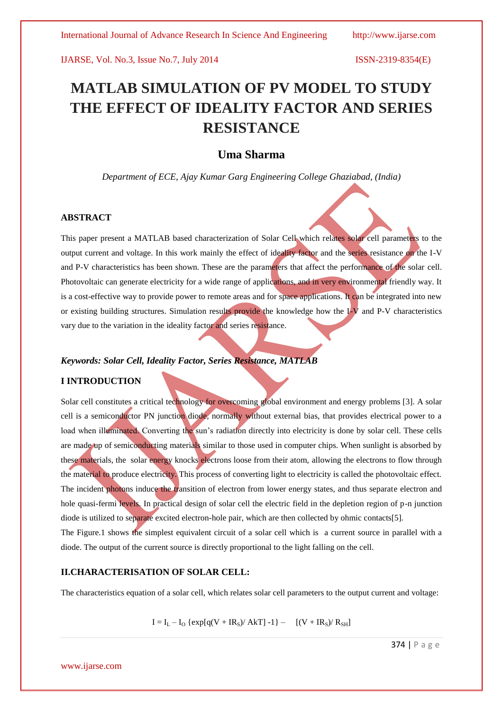# **MATLAB SIMULATION OF PV MODEL TO STUDY THE EFFECT OF IDEALITY FACTOR AND SERIES RESISTANCE**

# **Uma Sharma**

*Department of ECE, Ajay Kumar Garg Engineering College Ghaziabad, (India)*

#### **ABSTRACT**

This paper present a MATLAB based characterization of Solar Cell which relates solar cell parameters to the output current and voltage. In this work mainly the effect of ideality factor and the series resistance on the I-V and P-V characteristics has been shown. These are the parameters that affect the performance of the solar cell. Photovoltaic can generate electricity for a wide range of applications, and in very environmental friendly way. It is a cost-effective way to provide power to remote areas and for space applications. It can be integrated into new or existing building structures. Simulation results provide the knowledge how the I-V and P-V characteristics vary due to the variation in the ideality factor and series resistance.

### *Keywords: Solar Cell, Ideality Factor, Series Resistance, MATLAB*

#### **I INTRODUCTION**

Solar cell constitutes a critical technology for overcoming global environment and energy problems [3]. A solar cell is a semiconductor PN junction diode, normally without external bias, that provides electrical power to a load when illuminated. Converting the sun's radiation directly into electricity is done by solar cell. These cells are made up of semiconducting materials similar to those used in computer chips. When sunlight is absorbed by these materials, the solar energy knocks electrons loose from their atom, allowing the electrons to flow through the material to produce electricity. This process of converting light to electricity is called the photovoltaic effect. The incident photons induce the transition of electron from lower energy states, and thus separate electron and hole quasi-fermi levels. In practical design of solar cell the electric field in the depletion region of p-n junction diode is utilized to separate excited electron-hole pair, which are then collected by ohmic contacts[5]. The Figure.1 shows the simplest equivalent circuit of a solar cell which is a current source in parallel with a diode. The output of the current source is directly proportional to the light falling on the cell.

### **II.CHARACTERISATION OF SOLAR CELL:**

The characteristics equation of a solar cell, which relates solar cell parameters to the output current and voltage:

 $I = I_L - I_O$  { $\exp[q(V + IR_S)/AKT] - 1$ } –  $[(V + IR_S)/R_{SH}]$ 

374 | P a g e

www.ijarse.com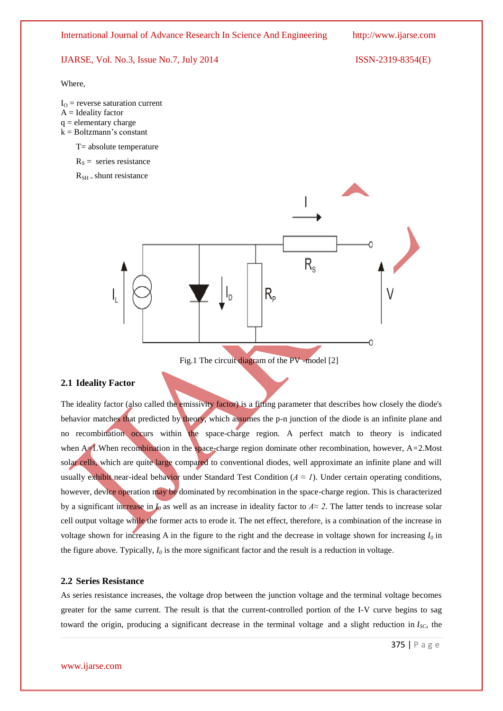Where,

- $I<sub>O</sub>$  = reverse saturation current
- $A =$  Ideality factor
- $q =$  elementary charge
- $k = Boltzmann's constant$ 
	- $T=$  absolute temperature
	- $R<sub>S</sub>$  = series resistance

 $R_{\text{SH}}$  = shunt resistance



#### **2.1 Ideality Factor**

The ideality factor (also called the emissivity factor) is a fitting parameter that describes how closely the diode's behavior matches that predicted by theory, which assumes the p-n junction of the diode is an infinite plane and no recombination occurs within the space-charge region. A perfect match to theory is indicated when A $\triangle$ 1.When recombination in the space-charge region dominate other recombination, however, A=2.Most solar cells, which are quite large compared to conventional diodes, well approximate an infinite plane and will usually exhibit near-ideal behavior under [Standard Test Condition](http://en.wikipedia.org/wiki/Standard_Test_Condition) ( $A \approx I$ ). Under certain operating conditions, however, device operation may be dominated by recombination in the space-charge region. This is characterized by a significant increase in *I*<sub>0</sub> as well as an increase in ideality factor to  $A \approx 2$ . The latter tends to increase solar cell output voltage while the former acts to erode it. The net effect, therefore, is a combination of the increase in voltage shown for increasing A in the figure to the right and the decrease in voltage shown for increasing  $I_0$  in the figure above. Typically,  $I_0$  is the more significant factor and the result is a reduction in voltage.

#### **2.2 Series Resistance**

As series resistance increases, the voltage drop between the junction voltage and the terminal voltage becomes greater for the same current. The result is that the current-controlled portion of the I-V curve begins to sag toward the origin, producing a significant decrease in the terminal voltage and a slight reduction in  $I_{SC}$ , the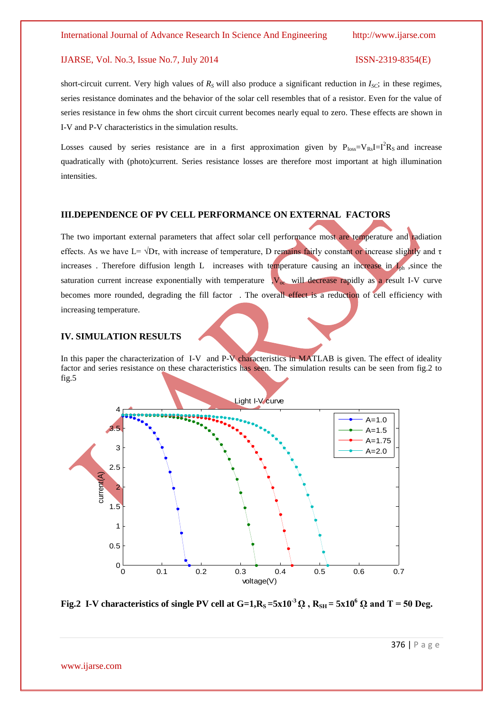short-circuit current. Very high values of  $R<sub>S</sub>$  will also produce a significant reduction in  $I<sub>SC</sub>$ ; in these regimes, series resistance dominates and the behavior of the solar cell resembles that of a resistor. Even for the value of series resistance in few ohms the short circuit current becomes nearly equal to zero. These effects are shown in I-V and P-V characteristics in the simulation results.

Losses caused by series resistance are in a first approximation given by  $P_{loss}=V_{Rs}I=I^2R_s$  and increase quadratically with (photo)current. Series resistance losses are therefore most important at high illumination intensities.

### **III.DEPENDENCE OF PV CELL PERFORMANCE ON EXTERNAL FACTORS**

The two important external parameters that affect solar cell performance most are temperature and radiation effects. As we have L=  $\sqrt{D\tau}$ , with increase of temperature, D remains fairly constant or increase slightly and τ increases. Therefore diffusion length L increases with temperature causing an increase in  $I_{\rm ph}$ , since the saturation current increase exponentially with temperature  $\sqrt{V_{oc}}$  will decrease rapidly as a result I-V curve becomes more rounded, degrading the fill factor. The overall effect is a reduction of cell efficiency with increasing temperature.

### **IV. SIMULATION RESULTS**

In this paper the characterization of I-V and P-V characteristics in MATLAB is given. The effect of ideality factor and series resistance on these characteristics has seen. The simulation results can be seen from fig.2 to fig.5



**Fig.2** I-V characteristics of single PV cell at  $G=1, R_S = 5x10^{-3}$   $\Omega$ ,  $R_{SH} = 5x10^{6}$   $\Omega$  and T = 50 Deg.

376 | P a g e

www.ijarse.com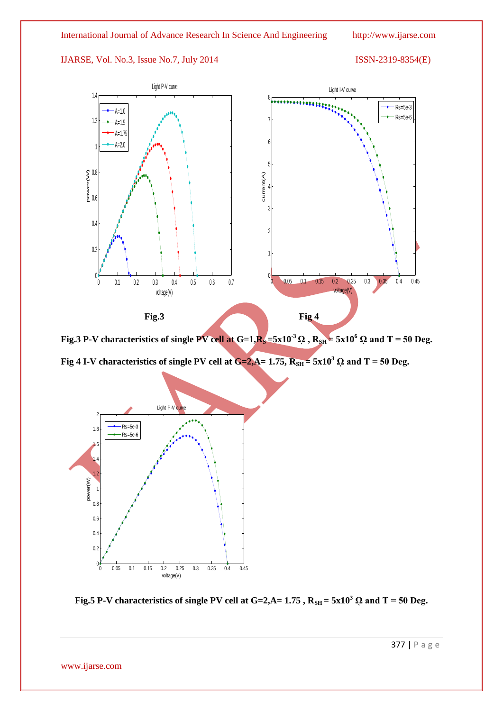

**Fig.3 P-V** characteristics of single PV cell at  $G=1$ ,  $R_s = 5x10^3 \Omega$ ,  $R_{SH} = 5x10^6 \Omega$  and T = 50 Deg.

**Fig 4 I-V characteristics of single PV cell at**  $G=2$ **,**  $A= 1.75$ **,**  $R_{SH} = 5 \times 10^3$  $\Omega$  **and T = 50 Deg.** 





377 | P a g e

www.ijarse.com